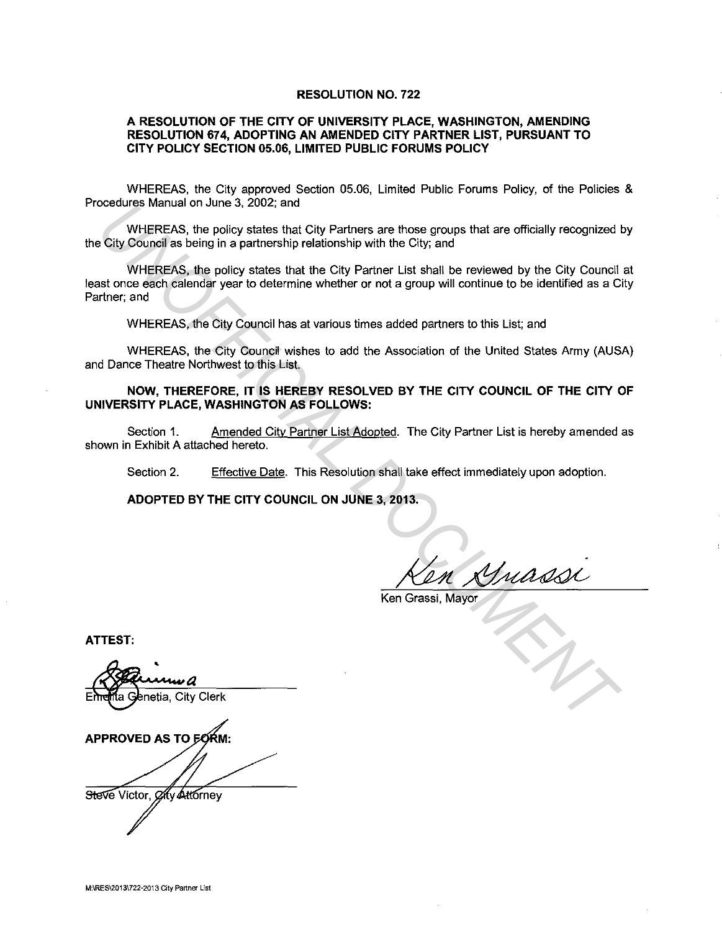#### **RESOLUTION NO. 722**

### **A RESOLUTION OF THE CITY OF UNIVERSITY PLACE, WASHINGTON, AMENDING RESOLUTION 674, ADOPTING AN AMENDED CITY PARTNER LIST, PURSUANT TO CITY POLICY SECTION 05.06, LIMITED PUBLIC FORUMS POLICY**

WHEREAS, the City approved Section 05.06, Limited Public Forums Policy, of the Policies & Procedures Manual on June 3, 2002; and

WHEREAS, the policy states that City Partners are those groups that are officially recognized by the City Council as being in a partnership relationship with the City; and

WHEREAS, the policy states that the City Partner List shall be reviewed by the City Council at least once each calendar year to determine whether or not a group will continue to be identified as a City Partner; and coedures wandal on June 3, 2002; and<br>
WHEREAS, the policy states that City Partners are those groups that are officially recognized to<br>
City Schurell as being in a partnership relationship with the City, and<br>
WHEREAS, the

WHEREAS, the City Council has at various times added partners to this List; and

WHEREAS, the City Council wishes to add the Association of the United States Army (AUSA) and Dance Theatre Northwest to this List.

### **NOW, THEREFORE, IT IS HEREBY RESOLVED BY THE CITY COUNCIL OF THE CITY OF UNIVERSITY PLACE, WASHINGTON AS FOLLOWS:**

Section 1. Amended City Partner List Adopted. The City Partner List is hereby amended as shown in Exhibit A attached hereto.

Section 2. Effective Date. This Resolution shall take effect immediately upon adoption.

**ADOPTED BY THE CITY COUNCIL ON JUNE 3, 2013.** 

Ken Grassi, Mayor

**ATTEST:** 

• **e**netia, City Clerk APPROVED AS TO EORM: Steve Victor, *Oly* Attorney